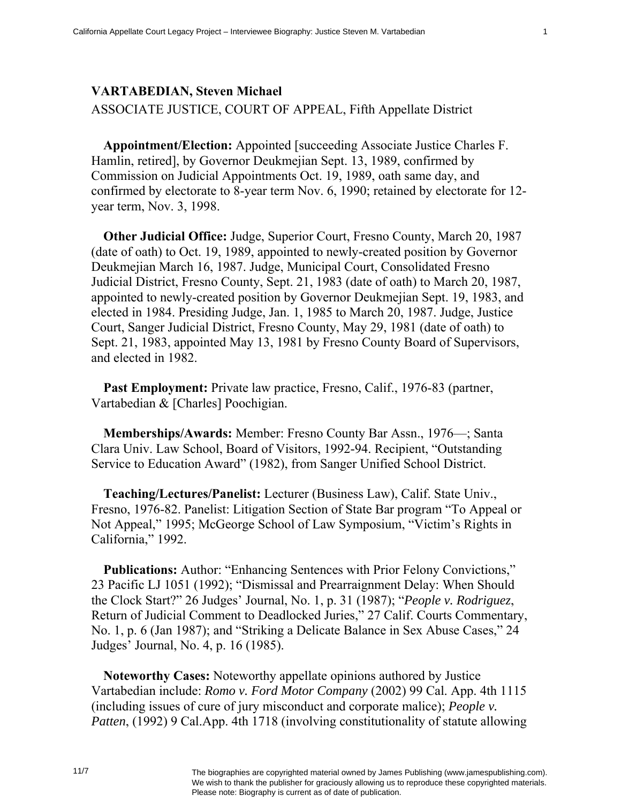## **VARTABEDIAN, Steven Michael**

ASSOCIATE JUSTICE, COURT OF APPEAL, Fifth Appellate District

**Appointment/Election:** Appointed [succeeding Associate Justice Charles F. Hamlin, retired], by Governor Deukmejian Sept. 13, 1989, confirmed by Commission on Judicial Appointments Oct. 19, 1989, oath same day, and confirmed by electorate to 8-year term Nov. 6, 1990; retained by electorate for 12 year term, Nov. 3, 1998.

**Other Judicial Office:** Judge, Superior Court, Fresno County, March 20, 1987 (date of oath) to Oct. 19, 1989, appointed to newly-created position by Governor Deukmejian March 16, 1987. Judge, Municipal Court, Consolidated Fresno Judicial District, Fresno County, Sept. 21, 1983 (date of oath) to March 20, 1987, appointed to newly-created position by Governor Deukmejian Sept. 19, 1983, and elected in 1984. Presiding Judge, Jan. 1, 1985 to March 20, 1987. Judge, Justice Court, Sanger Judicial District, Fresno County, May 29, 1981 (date of oath) to Sept. 21, 1983, appointed May 13, 1981 by Fresno County Board of Supervisors, and elected in 1982.

**Past Employment:** Private law practice, Fresno, Calif., 1976-83 (partner, Vartabedian & [Charles] Poochigian.

**Memberships/Awards:** Member: Fresno County Bar Assn., 1976—; Santa Clara Univ. Law School, Board of Visitors, 1992-94. Recipient, "Outstanding Service to Education Award" (1982), from Sanger Unified School District.

**Teaching/Lectures/Panelist:** Lecturer (Business Law), Calif. State Univ., Fresno, 1976-82. Panelist: Litigation Section of State Bar program "To Appeal or Not Appeal," 1995; McGeorge School of Law Symposium, "Victim's Rights in California," 1992.

**Publications:** Author: "Enhancing Sentences with Prior Felony Convictions," 23 Pacific LJ 1051 (1992); "Dismissal and Prearraignment Delay: When Should the Clock Start?" 26 Judges' Journal, No. 1, p. 31 (1987); "*People v. Rodriguez*, Return of Judicial Comment to Deadlocked Juries," 27 Calif. Courts Commentary, No. 1, p. 6 (Jan 1987); and "Striking a Delicate Balance in Sex Abuse Cases," 24 Judges' Journal, No. 4, p. 16 (1985).

**Noteworthy Cases:** Noteworthy appellate opinions authored by Justice Vartabedian include: *Romo v. Ford Motor Company* (2002) 99 Cal. App. 4th 1115 (including issues of cure of jury misconduct and corporate malice); *People v. Patten*, (1992) 9 Cal.App. 4th 1718 (involving constitutionality of statute allowing